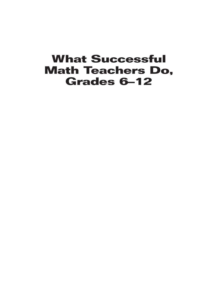## **What Successful Math Teachers Do, Grades 6–12**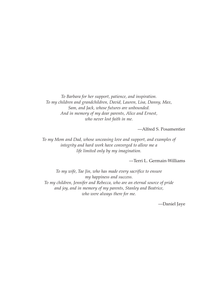*To Barbara for her support, patience, and inspiration. To my children and grandchildren, David, Lauren, Lisa, Danny, Max, Sam, and Jack, whose futures are unbounded. And in memory of my dear parents, Alice and Ernest, who never lost faith in me.*

—Alfred S. Posamentier

*To my Mom and Dad, whose unceasing love and support, and examples of integrity and hard work have converged to allow me a life limited only by my imagination.*

—Terri L. Germain-Williams

*To my wife, Tae Jin, who has made every sacrifice to ensure my happiness and success. To my children, Jennifer and Rebecca, who are an eternal source of pride and joy, and in memory of my parents, Stanley and Beatrice, who were always there for me.*

—Daniel Jaye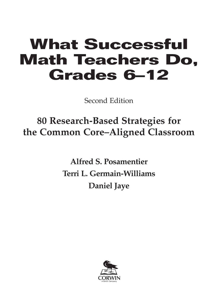# **What Successful Math Teachers Do, Grades 6–12**

Second Edition

## **80 Research-Based Strategies for the Common Core–Aligned Classroom**

**Alfred S. Posamentier Terri L. Germain-Williams Daniel Jaye**

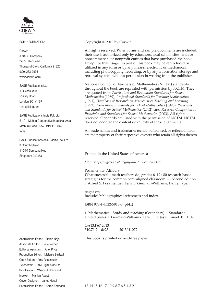

#### FOR INFORMATION:

Corwin

A SAGE Company 2455 Teller Road Thousand Oaks, California 91320 (800) 233-9936 www.corwin.com

SAGE Publications Ltd. 1 Oliver's Yard 55 City Road London EC1Y 1SP United Kingdom

SAGE Publications India Pvt. Ltd. B 1/I 1 Mohan Cooperative Industrial Area Mathura Road, New Delhi 110 044 India

SAGE Publications Asia-Pacific Pte. Ltd. 3 Church Street #10-04 Samsung Hub Singapore 049483

Acquisitions Editor: Robin Najar Associate Editor: Julie Nemer Editorial Assistant: Ariel Price Production Editor: Melanie Birdsall Copy Editor: Amy Rosenstein Typesetter: C&M Digitals (P) Ltd. Proofreader: Wendy Jo Dymond Indexer: Marilyn Augst Cover Designer: Janet Kiesel Permissions Editor: Karen Ehrmann

#### Copyright © 2013 by Corwin

All rights reserved. When forms and sample documents are included, their use is authorized only by educators, local school sites, and/or noncommercial or nonprofit entities that have purchased the book. Except for that usage, no part of this book may be reproduced or utilized in any form or by any means, electronic or mechanical, including photocopying, recording, or by any information storage and retrieval system, without permission in writing from the publisher.

National Council of Teachers of Mathematics (NCTM) standards throughout the book are reprinted with permission by NCTM. They are quoted from *Curriculum and Evaluation Standards for School Mathematics* (1989), *Professional Standards for Teaching Mathematics* (1991), *Handbook of Research on Mathematics Teaching and Learning* (1992), *Assessment Standards for School Mathematics* (1995), *Principles and Standards for School Mathematics* (2002), and *Research Companion to Principles and Standards for School Mathematics* (2003). All rights reserved. Standards are listed with the permission of NCTM. NCTM does not endorse the content or validity of these alignments.

All trade names and trademarks recited, referenced, or reflected herein are the property of their respective owners who retain all rights thereto.

Printed in the United States of America

*Library of Congress Cataloging-in-Publication Data*

Posamentier, Alfred S. What successful math teachers do, grades 6–12 : 80 research-based strategies for the common core–aligned classroom. — Second edition / Alfred S. Posamentier, Terri L. Germain-Williams, Daniel Jaye.

pages cm Includes bibliographical references and index.

ISBN 978-1-4522-5913-0 (pbk.)

1. Mathematics—Study and teaching (Secondary) —Standards— United States. I. Germain-Williams, Terri L. II. Jaye, Daniel. III. Title.

QA13.P67 2013 510.71′2—dc23 2013011072

This book is printed on acid-free paper.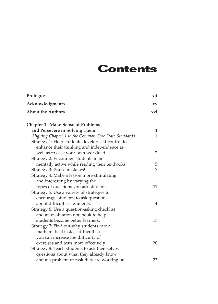## **Contents**

| Prologue                                              | xii |
|-------------------------------------------------------|-----|
| <b>Acknowledgments</b>                                | XV  |
| <b>About the Authors</b>                              | xvi |
| <b>Chapter 1. Make Sense of Problems</b>              |     |
| and Persevere in Solving Them                         | 1   |
| Aligning Chapter 1 to the Common Core State Standards | 1   |
| Strategy 1: Help students develop self-control to     |     |
| enhance their thinking and independence as            |     |
| well as to ease your own workload.                    | 2   |
| Strategy 2: Encourage students to be                  |     |
| mentally active while reading their textbooks.        | 5   |
| Strategy 3: Praise mistakes!                          | 7   |
| Strategy 4: Make a lesson more stimulating            |     |
| and interesting by varying the                        |     |
| types of questions you ask students.                  | 11  |
| Strategy 5: Use a variety of strategies to            |     |
| encourage students to ask questions                   |     |
| about difficult assignments.                          | 14  |
| Strategy 6: Use a question-asking checklist           |     |
| and an evaluation notebook to help                    |     |
| students become better learners.                      | 17  |
| Strategy 7: Find out why students rate a              |     |
| mathematical task as difficult so                     |     |
| you can increase the difficulty of                    |     |
| exercises and tests more effectively.                 | 20  |
| Strategy 8: Teach students to ask themselves          |     |
| questions about what they already know                |     |
| about a problem or task they are working on.          | 23  |
|                                                       |     |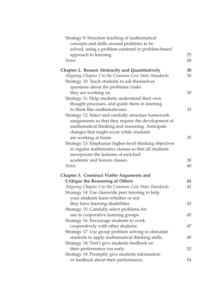| Strategy 9: Structure teaching of mathematical          |    |
|---------------------------------------------------------|----|
| concepts and skills around problems to be               |    |
| solved, using a problem-centered or problem-based       |    |
| approach to learning.                                   | 25 |
| <b>Notes</b>                                            | 28 |
| Chapter 2. Reason Abstractly and Quantitatively         | 30 |
| Aligning Chapter 2 to the Common Core State Standards   | 30 |
| Strategy 10: Teach students to ask themselves           |    |
| questions about the problems/tasks                      |    |
| they are working on.                                    | 30 |
| Strategy 11: Help students understand their own         |    |
| thought processes, and guide them in learning           |    |
| to think like mathematicians.                           | 33 |
| Strategy 12: Select and carefully structure homework    |    |
| assignments so that they require the development of     |    |
| mathematical thinking and reasoning. Anticipate         |    |
| changes that might occur while students                 |    |
| are working at home.                                    | 35 |
| Strategy 13: Emphasize higher-level thinking objectives |    |
| in regular mathematics classes so that all students     |    |
| incorporate the features of enriched                    |    |
| academic and honors classes.                            | 38 |
| <b>Notes</b>                                            | 40 |
| <b>Chapter 3. Construct Viable Arguments and</b>        |    |
| <b>Critique the Reasoning of Others</b>                 | 42 |
| Aligning Chapter 3 to the Common Core State Standards   | 42 |
| Strategy 14: Use classwide peer tutoring to help        |    |
| your students learn whether or not                      |    |
| they have learning disabilities.                        | 43 |
| Strategy 15: Carefully select problems for              |    |
| use in cooperative learning groups.                     | 45 |
| Strategy 16: Encourage students to work                 |    |
| cooperatively with other students.                      | 47 |
| Strategy 17: Use group problem solving to stimulate     |    |
| students to apply mathematical thinking skills.         | 49 |
| Strategy 18: Don't give students feedback on            |    |
| their performance too early.                            | 52 |
| Strategy 19: Promptly give students information         |    |
| or feedback about their performance.                    | 54 |
|                                                         |    |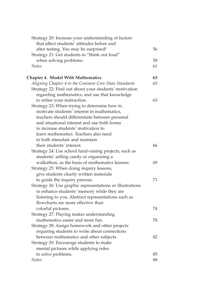| Strategy 20: Increase your understanding of factors       |    |
|-----------------------------------------------------------|----|
| that affect students' attitudes before and                |    |
| after testing. You may be surprised!                      | 56 |
| Strategy 21: Get students to "think out loud"             |    |
| when solving problems.                                    | 58 |
| Notes                                                     | 61 |
| <b>Chapter 4. Model With Mathematics</b>                  | 63 |
| Aligning Chapter 4 to the Common Core State Standards     | 63 |
| Strategy 22: Find out about your students' motivation     |    |
| regarding mathematics, and use that knowledge             |    |
| to refine your instruction.                               | 63 |
| Strategy 23: When trying to determine how to              |    |
| motivate students' interest in mathematics,               |    |
| teachers should differentiate between personal            |    |
| and situational interest and use both forms               |    |
| to increase students' motivation to                       |    |
| learn mathematics. Teachers also need                     |    |
| to both stimulate and maintain                            |    |
| their students' interest.                                 | 66 |
| Strategy 24: Use school fund-raising projects, such as    |    |
| students' selling candy or organizing a                   |    |
| walkathon, as the basis of mathematics lessons.           | 69 |
| Strategy 25: When doing inquiry lessons,                  |    |
| give students clearly written materials                   |    |
| to guide the inquiry process.                             | 71 |
| Strategy 26: Use graphic representations or illustrations |    |
| to enhance students' memory while they are                |    |
| listening to you. Abstract representations such as        |    |
| flowcharts are more effective than                        |    |
| colorful pictures.                                        | 74 |
| Strategy 27: Playing makes understanding                  |    |
| mathematics easier and more fun.                          | 78 |
| Strategy 28: Assign homework and other projects           |    |
| requiring students to write about connections             |    |
| between mathematics and other subjects.                   | 82 |
| Strategy 29: Encourage students to make                   |    |
| mental pictures while applying rules                      |    |
| to solve problems.                                        | 85 |
| <b>Notes</b>                                              | 88 |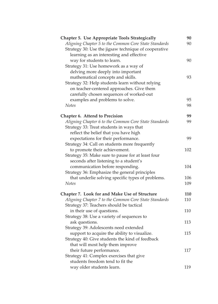| <b>Chapter 5. Use Appropriate Tools Strategically</b> | 90  |
|-------------------------------------------------------|-----|
| Aligning Chapter 5 to the Common Core State Standards | 90  |
| Strategy 30: Use the jigsaw technique of cooperative  |     |
| learning as an interesting and effective              |     |
| way for students to learn.                            | 90  |
| Strategy 31: Use homework as a way of                 |     |
| delving more deeply into important                    |     |
| mathematical concepts and skills.                     | 93  |
| Strategy 32: Help students learn without relying      |     |
| on teacher-centered approaches. Give them             |     |
| carefully chosen sequences of worked-out              |     |
| examples and problems to solve.                       | 95  |
| Notes                                                 | 98  |
| Chapter 6. Attend to Precision                        | 99  |
| Aligning Chapter 6 to the Common Core State Standards | 99  |
| Strategy 33: Treat students in ways that              |     |
| reflect the belief that you have high                 |     |
| expectations for their performance.                   | 99  |
| Strategy 34: Call on students more frequently         |     |
| to promote their achievement.                         | 102 |
| Strategy 35: Make sure to pause for at least four     |     |
| seconds after listening to a student's                |     |
| communication before responding.                      | 104 |
| Strategy 36: Emphasize the general principles         |     |
| that underlie solving specific types of problems.     | 106 |
| <b>Notes</b>                                          | 109 |
| Chapter 7. Look for and Make Use of Structure         | 110 |
| Aligning Chapter 7 to the Common Core State Standards | 110 |
| Strategy 37: Teachers should be tactical              |     |
| in their use of questions.                            | 110 |
| Strategy 38: Use a variety of sequences to            |     |
| ask questions.                                        | 113 |
| Strategy 39: Adolescents need extended                |     |
| support to acquire the ability to visualize.          | 115 |
| Strategy 40: Give students the kind of feedback       |     |
| that will most help them improve                      |     |
| their future performance.                             | 117 |
| Strategy 41: Complex exercises that give              |     |
| students freedom tend to fit the                      |     |
| way older students learn.                             | 119 |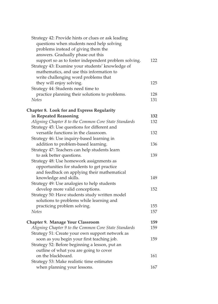| Strategy 42: Provide hints or clues or ask leading    |     |
|-------------------------------------------------------|-----|
| questions when students need help solving             |     |
| problems instead of giving them the                   |     |
| answers. Gradually phase out this                     |     |
| support so as to foster independent problem solving.  | 122 |
| Strategy 43: Examine your students' knowledge of      |     |
| mathematics, and use this information to              |     |
| write challenging word problems that                  |     |
| they will enjoy solving.                              | 125 |
| Strategy 44: Students need time to                    |     |
| practice planning their solutions to problems.        | 128 |
| <b>Notes</b>                                          | 131 |
| <b>Chapter 8. Look for and Express Regularity</b>     |     |
| in Repeated Reasoning                                 | 132 |
| Aligning Chapter 8 to the Common Core State Standards | 132 |
| Strategy 45: Use questions for different and          |     |
| versatile functions in the classroom.                 | 132 |
| Strategy 46: Use inquiry-based learning in            |     |
| addition to problem-based learning.                   | 136 |
|                                                       |     |
| Strategy 47: Teachers can help students learn         |     |
| to ask better questions.                              | 139 |
| Strategy 48: Use homework assignments as              |     |
| opportunities for students to get practice            |     |
| and feedback on applying their mathematical           |     |
| knowledge and skills.                                 | 149 |
| Strategy 49: Use analogies to help students           |     |
| develop more valid conceptions.                       | 152 |
| Strategy 50: Have students study written model        |     |
| solutions to problems while learning and              |     |
| practicing problem solving.                           | 155 |
| <b>Notes</b>                                          | 157 |
| <b>Chapter 9. Manage Your Classroom</b>               | 159 |
| Aligning Chapter 9 to the Common Core State Standards | 159 |
| Strategy 51: Create your own support network as       |     |
| soon as you begin your first teaching job.            | 159 |
| Strategy 52: Before beginning a lesson, put an        |     |
| outline of what you are going to cover                |     |
| on the blackboard.                                    | 161 |
| Strategy 53: Make realistic time estimates            |     |
| when planning your lessons.                           | 167 |
|                                                       |     |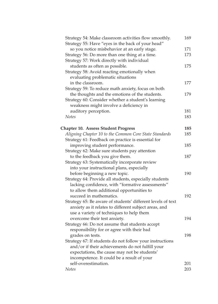| Strategy 54: Make classroom activities flow smoothly.       | 169 |
|-------------------------------------------------------------|-----|
| Strategy 55: Have "eyes in the back of your head"           |     |
| so you notice misbehavior at an early stage.                | 171 |
| Strategy 56: Do more than one thing at a time.              | 173 |
| Strategy 57: Work directly with individual                  |     |
| students as often as possible.                              | 175 |
| Strategy 58: Avoid reacting emotionally when                |     |
| evaluating problematic situations                           |     |
| in the classroom.                                           | 177 |
| Strategy 59: To reduce math anxiety, focus on both          |     |
| the thoughts and the emotions of the students.              | 179 |
| Strategy 60: Consider whether a student's learning          |     |
| weakness might involve a deficiency in                      |     |
| auditory perception.                                        | 181 |
| <b>Notes</b>                                                | 183 |
| <b>Chapter 10. Assess Student Progress</b>                  | 185 |
| Aligning Chapter 10 to the Common Core State Standards      | 185 |
| Strategy 61: Feedback on practice is essential for          |     |
| improving student performance.                              | 185 |
| Strategy 62: Make sure students pay attention               |     |
| to the feedback you give them.                              | 187 |
| Strategy 63: Systematically incorporate review              |     |
| into your instructional plans, especially                   |     |
| before beginning a new topic.                               | 190 |
| Strategy 64: Provide all students, especially students      |     |
| lacking confidence, with "formative assessments"            |     |
| to allow them additional opportunities to                   |     |
| succeed in mathematics.                                     | 192 |
| Strategy 65: Be aware of students' different levels of text |     |
| anxiety as it relates to different subject areas, and       |     |
| use a variety of techniques to help them                    |     |
| overcome their test anxiety.                                | 194 |
| Strategy 66: Do not assume that students accept             |     |
| responsibility for or agree with their bad                  |     |
| grades on tests.                                            | 198 |
| Strategy 67: If students do not follow your instructions    |     |
| and/or if their achievements do not fulfill your            |     |
| expectations, the cause may not be students'                |     |
| incompetence. It could be a result of your                  |     |
| self-overestimation.                                        | 201 |
| <b>Notes</b>                                                | 203 |
|                                                             |     |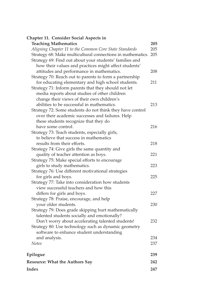| <b>Chapter 11. Consider Social Aspects in</b>                   |     |
|-----------------------------------------------------------------|-----|
| <b>Teaching Mathematics</b>                                     | 205 |
| Aligning Chapter 11 to the Common Core State Standards          | 205 |
| Strategy 68: Make multicultural connections in mathematics. 205 |     |
| Strategy 69: Find out about your students' families and         |     |
| how their values and practices might affect students'           |     |
| attitudes and performance in mathematics.                       | 208 |
| Strategy 70: Reach out to parents to form a partnership         |     |
| for educating elementary and high school students.              | 211 |
| Strategy 71: Inform parents that they should not let            |     |
| media reports about studies of other children                   |     |
| change their views of their own children's                      |     |
| abilities to be successful in mathematics.                      | 213 |
| Strategy 72: Some students do not think they have control       |     |
| over their academic successes and failures. Help                |     |
| these students recognize that they do                           |     |
| have some control.                                              | 216 |
| Strategy 73: Teach students, especially girls,                  |     |
| to believe that success in mathematics                          |     |
| results from their efforts.                                     | 218 |
| Strategy 74: Give girls the same quantity and                   |     |
| quality of teacher attention as boys.                           | 221 |
| Strategy 75: Make special efforts to encourage                  |     |
| girls to study mathematics.                                     | 223 |
| Strategy 76: Use different motivational strategies              |     |
| for girls and boys.                                             | 225 |
| Strategy 77: Take into consideration how students               |     |
| view successful teachers and how this                           |     |
| differs for girls and boys.                                     | 227 |
| Strategy 78: Praise, encourage, and help                        |     |
| your older students.                                            | 230 |
| Strategy 79: Does grade skipping hurt mathematically            |     |
| talented students socially and emotionally?                     |     |
| Don't worry about accelerating talented students!               | 232 |
| Strategy 80: Use technology such as dynamic geometry            |     |
| software to enhance student understanding                       |     |
| and analysis.                                                   | 234 |
| Notes                                                           | 237 |
| Epilogue                                                        | 239 |
| <b>Resource: What the Authors Say</b>                           | 242 |
| Index                                                           | 247 |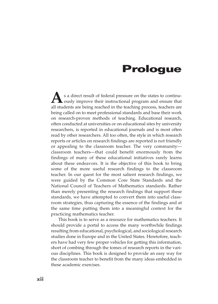## **Prologue**

**A**s a direct result of federal pressure on the states to continuously improve their instructional program and ensure that all students are being reached in the teaching process, teachers are being called on to meet professional standards and base their work on research-proven methods of teaching. Educational research, often conducted at universities or on educational sites by university researchers, is reported in educational journals and is most often read by other researchers. All too often, the style in which research reports or articles on research findings are reported is not friendly or appealing to the classroom teacher. The very community classroom teachers—that could benefit enormously from the findings of many of these educational initiatives rarely learns about these endeavors. It is the objective of this book to bring some of the more useful research findings to the classroom teacher. In our quest for the most salient research findings, we were guided by the Common Core State Standards and the National Council of Teachers of Mathematics standards. Rather than merely presenting the research findings that support these standards, we have attempted to convert them into useful classroom strategies, thus capturing the essence of the findings and at the same time putting them into a meaningful context for the practicing mathematics teacher.

This book is to serve as a resource for mathematics teachers. It should provide a portal to access the many worthwhile findings resulting from educational, psychological, and sociological research studies done in Europe and in the United States. Heretofore, teachers have had very few proper vehicles for getting this information, short of combing through the tomes of research reports in the various disciplines. This book is designed to provide an easy way for the classroom teacher to benefit from the many ideas embedded in these academic exercises.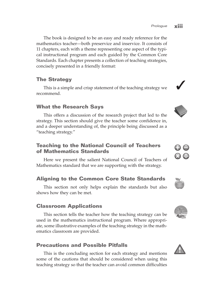The book is designed to be an easy and ready reference for the mathematics teacher—both preservice and inservice. It consists of 11 chapters, each with a theme representing one aspect of the typical instructional program and each guided by the Common Core Standards. Each chapter presents a collection of teaching strategies, concisely presented in a friendly format:

### **The Strategy**

This is a simple and crisp statement of the teaching strategy we recommend.

### **What the Research Says**

This offers a discussion of the research project that led to the strategy. This section should give the teacher some confidence in, and a deeper understanding of, the principle being discussed as a "teaching strategy."

### **Teaching to the National Council of Teachers of Mathematics Standards**

Here we present the salient National Council of Teachers of Mathematics standard that we are supporting with the strategy.

### **Aligning to the Common Core State Standards**

This section not only helps explain the standards but also shows how they can be met.

#### **Classroom Applications**

This section tells the teacher how the teaching strategy can be used in the mathematics instructional program. Where appropriate, some illustrative examples of the teaching strategy in the mathematics classroom are provided.

### **Precautions and Possible Pitfalls**

This is the concluding section for each strategy and mentions some of the cautions that should be considered when using this teaching strategy so that the teacher can avoid common difficulties



✓







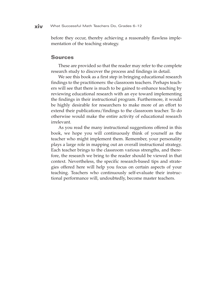#### **xiv** What Successful Math Teachers Do, Grades 6-12

before they occur, thereby achieving a reasonably flawless implementation of the teaching strategy.

#### **Sources**

These are provided so that the reader may refer to the complete research study to discover the process and findings in detail.

We see this book as a first step in bringing educational research findings to the practitioners: the classroom teachers. Perhaps teachers will see that there is much to be gained to enhance teaching by reviewing educational research with an eye toward implementing the findings in their instructional program. Furthermore, it would be highly desirable for researchers to make more of an effort to extend their publications/findings to the classroom teacher. To do otherwise would make the entire activity of educational research irrelevant.

As you read the many instructional suggestions offered in this book, we hope you will continuously think of yourself as the teacher who might implement them. Remember, your personality plays a large role in mapping out an overall instructional strategy. Each teacher brings to the classroom various strengths, and therefore, the research we bring to the reader should be viewed in that context. Nevertheless, the specific research-based tips and strategies offered here will help you focus on certain aspects of your teaching. Teachers who continuously self-evaluate their instructional performance will, undoubtedly, become master teachers.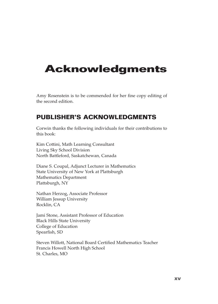## **Acknowledgments**

Amy Rosenstein is to be commended for her fine copy editing of the second edition.

### **PUBLISHER'S ACKNOWLEDGMENTS**

Corwin thanks the following individuals for their contributions to this book:

Kim Cottini, Math Learning Consultant Living Sky School Division North Battleford, Saskatchewan*,* Canada

Diane S. Coupal, Adjunct Lecturer in Mathematics State University of New York at Plattsburgh Mathematics Department Plattsburgh, NY

Nathan Herzog, Associate Professor William Jessup University Rocklin, CA

Jami Stone, Assistant Professor of Education Black Hills State University College of Education Spearfish, SD

Steven Willott, National Board Certified Mathematics Teacher Francis Howell North High School St. Charles, MO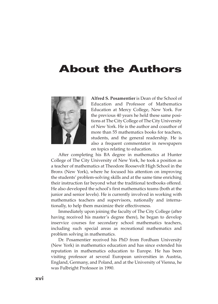## **About the Authors**



**Alfred S. Posamentier** is Dean of the School of Education and Professor of Mathematics Education at Mercy College, New York. For the previous 40 years he held these same positions at The City College of The City University of New York. He is the author and coauthor of more than 55 mathematics books for teachers, students, and the general readership. He is also a frequent commentator in newspapers on topics relating to education.

After completing his BA degree in mathematics at Hunter College of The City University of New York, he took a position as a teacher of mathematics at Theodore Roosevelt High School in the Bronx (New York), where he focused his attention on improving the students' problem-solving skills and at the same time enriching their instruction far beyond what the traditional textbooks offered. He also developed the school's first mathematics teams (both at the junior and senior levels). He is currently involved in working with mathematics teachers and supervisors, nationally and internationally, to help them maximize their effectiveness.

Immediately upon joining the faculty of The City College (after having received his master's degree there), he began to develop inservice courses for secondary school mathematics teachers, including such special areas as recreational mathematics and problem solving in mathematics.

Dr. Posamentier received his PhD from Fordham University (New York) in mathematics education and has since extended his reputation in mathematics education to Europe. He has been visiting professor at several European universities in Austria, England, Germany, and Poland, and at the University of Vienna, he was Fulbright Professor in 1990.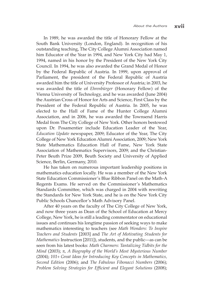In 1989, he was awarded the title of Honorary Fellow at the South Bank University (London, England). In recognition of his outstanding teaching, The City College Alumni Association named him Educator of the Year in 1994, and New York City had May 1, 1994, named in his honor by the President of the New York City Council. In 1994, he was also awarded the Grand Medal of Honor by the Federal Republic of Austria. In 1999, upon approval of Parliament, the president of the Federal Republic of Austria awarded him the title of University Professor of Austria; in 2003, he was awarded the title of *Ehrenbürger* (Honorary Fellow) of the Vienna University of Technology, and he was awarded (June 2004) the Austrian Cross of Honor for Arts and Science, First Class by the President of the Federal Republic of Austria. In 2005, he was elected to the Hall of Fame of the Hunter College Alumni Association, and in 2006, he was awarded the Townsend Harris Medal from The City College of New York. Other honors bestowed upon Dr. Posamentier include Education Leader of the Year, *Education Update* newspaper, 2009; Educator of the Year, The City College of New York Education Alumni Association, 2009; New York State Mathematics Education Hall of Fame, New York State Association of Mathematics Supervisors, 2009; and the Christian-Peter Beuth Prize 2009, Beuth Society and University of Applied Science, Berlin, Germany, 2010.

He has taken on numerous important leadership positions in mathematics education locally. He was a member of the New York State Education Commissioner's Blue Ribbon Panel on the Math-A Regents Exams. He served on the Commissioner's Mathematics Standards Committee, which was charged in 2004 with rewriting the Standards for New York State, and he is on the New York City Public Schools Chancellor's Math Advisory Panel.

After 40 years on the faculty of The City College of New York, and now three years as Dean of the School of Education at Mercy College, New York, he is still a leading commentator on educational issues and continues his longtime passion of seeking ways to make mathematics interesting to teachers (see *Math Wonders: To Inspire Teachers and Students* [2003] and *The Art of Motivating Students for Mathematics* Instruction [2011]), students, and the public—as can be seen from his latest books: *Math Charmers: Tantalizing Tidbits for the Mind* (2003);  $\pi$ , *A Biography of the World's Most Mysterious Number* (2004); *101*+ *Great Ideas for Introducing Key Concepts in Mathematics, Second Edition* (2006); and *The Fabulous Fibonacci Numbers* (2006); *Problem Solving Strategies for Efficient and Elegant Solutions* (2008);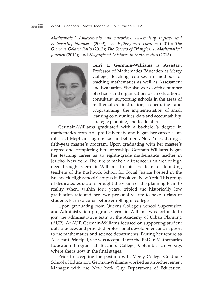#### **xviii** What Successful Math Teachers Do, Grades 6-12

*Mathematical Amazements and Surprises: Fascinating Figures and Noteworthy Numbers* (2009); *The Pythagorean Theorem* (2010); *The Glorious Golden Ratio* (2012); *The Secrets of Triangles: A Mathematical Journey* (2012); and *Magnificent Mistakes in Mathematics* (2013).



**Terri L. Germain-Williams** is Assistant Professor of Mathematics Education at Mercy College, teaching courses in methods of teaching mathematics as well as Assessment and Evaluation. She also works with a number of schools and organizations as an educational consultant, supporting schools in the areas of mathematics instruction, scheduling and programming, the implementation of small learning communities, data and accountability, strategic planning, and leadership.

Germain-Williams graduated with a bachelor's degree in mathematics from Adelphi University and began her career as an intern at Mepham High School in Bellmore, New York, during a fifth-year master's program. Upon graduating with her master's degree and completing her internship, Germain-Williams began her teaching career as an eighth-grade mathematics teacher in Jericho, New York. The lure to make a difference in an area of high need brought Germain-Williams to join the team of founding teachers of the Bushwick School for Social Justice housed in the Bushwick High School Campus in Brooklyn, New York. This group of dedicated educators brought the vision of the planning team to reality when, within four years, tripled the historically low graduation rate and her own personal vision: to have a class of students learn calculus before enrolling in college.

Upon graduating from Queens College's School Supervision and Administration program, Germain-Williams was fortunate to join the administrative team at the Academy of Urban Planning (AUP). At AUP, Germain-Williams focused on supporting student data practices and provided professional development and support to the mathematics and science departments. During her tenure as Assistant Principal, she was accepted into the PhD in Mathematics Education Program at Teachers College, Columbia University, where she is now in the final stages.

Prior to accepting the position with Mercy College Graduate School of Education, Germain-Williams worked as an Achievement Manager with the New York City Department of Education,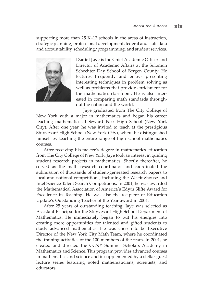supporting more than 25 K–12 schools in the areas of instruction, strategic planning, professional development, federal and state data and accountability, scheduling/programming, and student services.



**Daniel Jaye** is the Chief Academic Officer and Director of Academic Affairs at the Solomon Schechter Day School of Bergen County. He lectures frequently and enjoys presenting interesting techniques in problem solving as well as problems that provide enrichment for the mathematics classroom. He is also interested in comparing math standards throughout the nation and the world.

Jaye graduated from The City College of New York with a major in mathematics and began his career teaching mathematics at Seward Park High School (New York City). After one year, he was invited to teach at the prestigious Stuyvesant High School (New York City), where he distinguished himself by teaching the entire range of high school mathematics courses.

After receiving his master's degree in mathematics education from The City College of New York, Jaye took an interest in guiding student research projects in mathematics. Shortly thereafter, he served as the math research coordinator and coordinated the submission of thousands of student-generated research papers to local and national competitions, including the Westinghouse and Intel Science Talent Search Competitions. In 2001, he was awarded the Mathematical Association of America's Edyth Sliffe Award for Excellence in Teaching. He was also the recipient of Education Update's Outstanding Teacher of the Year award in 2004.

After 25 years of outstanding teaching, Jaye was selected as Assistant Principal for the Stuyvesant High School Department of Mathematics. He immediately began to put his energies into creating more opportunities for talented and gifted students to study advanced mathematics. He was chosen to be Executive Director of the New York City Math Team, where he coordinated the training activities of the 100 members of the team. In 2001, he created and directed the CCNY Summer Scholars Academy in Mathematics and Science. This program provides advanced courses in mathematics and science and is supplemented by a stellar guest lecture series featuring noted mathematicians, scientists, and educators.